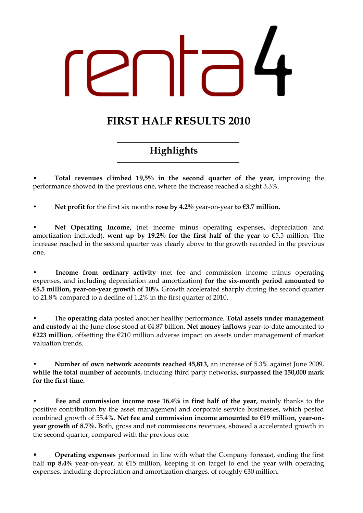# FIRST HALF RESULTS 2010

# Highlights

• Total revenues climbed 19,5% in the second quarter of the year, improving the performance showed in the previous one, where the increase reached a slight 3.3%.

Net profit for the first six months rose by 4.2% year-on-year to  $\epsilon$ 3.7 million.

Net Operating Income, (net income minus operating expenses, depreciation and amortization included), went up by 19.2% for the first half of the year to  $\epsilon$ 5.5 million. The increase reached in the second quarter was clearly above to the growth recorded in the previous one.

Income from ordinary activity (net fee and commission income minus operating expenses, and including depreciation and amortization) for the six-month period amounted to  $€5.5$  million, year-on-year growth of 10%. Growth accelerated sharply during the second quarter to 21.8% compared to a decline of 1.2% in the first quarter of 2010.

The operating data posted another healthy performance. Total assets under management and custody at the June close stood at €4.87 billion. Net money inflows year-to-date amounted to €223 million, offsetting the €210 million adverse impact on assets under management of market valuation trends.

• Number of own network accounts reached 45,813, an increase of 5.3% against June 2009, while the total number of accounts, including third party networks, surpassed the 150,000 mark for the first time.

Fee and commission income rose 16.4% in first half of the year, mainly thanks to the positive contribution by the asset management and corporate service businesses, which posted combined growth of 55.4%. Net fee and commission income amounted to €19 million, year-onyear growth of 8.7%. Both, gross and net commissions revenues, showed a accelerated growth in the second quarter, compared with the previous one.

• Operating expenses performed in line with what the Company forecast, ending the first half up 8.4% year-on-year, at  $\epsilon$ 15 million, keeping it on target to end the year with operating expenses, including depreciation and amortization charges, of roughly €30 million.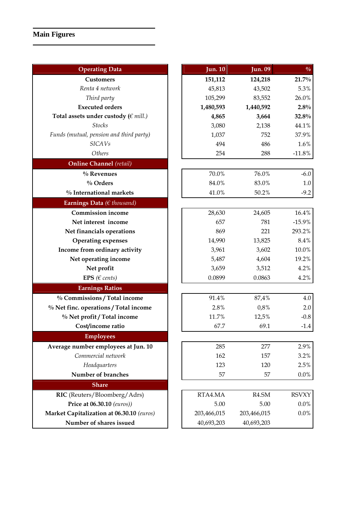# **Main Figures**

| <b>Operating Data</b>                     | <b>Jun. 10</b> | <b>Jun. 09</b>     | $\frac{0}{0}$ |
|-------------------------------------------|----------------|--------------------|---------------|
| <b>Customers</b>                          | 151,112        | 124,218            | 21.7%         |
| Renta 4 network                           | 45,813         | 43,502             | 5.3%          |
| Third party                               | 105,299        | 83,552             | 26.0%         |
| <b>Executed orders</b>                    | 1,480,593      | 1,440,592          | 2.8%          |
| Total assets under custody ( $\in$ mill.) | 4,865          | 3,664              | 32.8%         |
| <b>Stocks</b>                             | 3,080          | 2,138              | 44.1%         |
| Funds (mutual, pension and third party)   | 1,037          | 752                | 37.9%         |
| <b>SICAVs</b>                             | 494            | 486                | 1.6%          |
| Others                                    | 254            | 288                | $-11.8%$      |
| <b>Online Channel</b> (retail)            |                |                    |               |
| $%$ Revenues                              | 70.0%          | 76.0%              | $-6.0$        |
| % Orders                                  | 84.0%          | 83.0%              | 1.0           |
| % International markets                   | 41.0%          | 50.2%              | $-9.2$        |
| Earnings Data ( $\in$ thousand)           |                |                    |               |
| <b>Commission income</b>                  | 28,630         | 24,605             | 16.4%         |
| Net interest income                       | 657            | 781                | $-15.9%$      |
| Net financials operations                 | 869            | 221                | 293.2%        |
| <b>Operating expenses</b>                 | 14,990         | 13,825             | 8.4%          |
| Income from ordinary activity             | 3,961          | 3,602              | 10.0%         |
| Net operating income                      | 5,487          | 4,604              | 19.2%         |
| Net profit                                | 3,659          | 3,512              | 4.2%          |
| EPS ( $\in$ cents)                        | 0.0899         | 0.0863             | 4.2%          |
| <b>Earnings Ratios</b>                    |                |                    |               |
| % Commissions / Total income              | 91.4%          | 87,4%              | 4.0           |
| % Net finc. operations / Total income     | 2.8%           | 0,8%               | 2.0           |
| % Net profit / Total income               | 11.7%          | 12,5%              | $-0.8$        |
| Cost/income ratio                         | 67.7           | 69.1               | $-1.4$        |
| <b>Employees</b>                          |                |                    |               |
| Average number employees at Jun. 10       | 285            | 277                | 2.9%          |
| Commercial network                        | 162            | 157                | 3.2%          |
| Headquarters                              | 123            | 120                | 2.5%          |
| Number of branches                        | 57             | 57                 | $0.0\%$       |
| <b>Share</b>                              |                |                    |               |
| RIC (Reuters/Bloomberg/Adrs)              | RTA4.MA        | R <sub>4.</sub> SM | <b>RSVXY</b>  |
| Price at 06.30.10 (euros))                | 5.00           | 5.00               | 0.0%          |
| Market Capitalization at 06.30.10 (euros) | 203,466,015    | 203,466,015        | 0.0%          |
| Number of shares issued                   | 40,693,203     | 40,693,203         |               |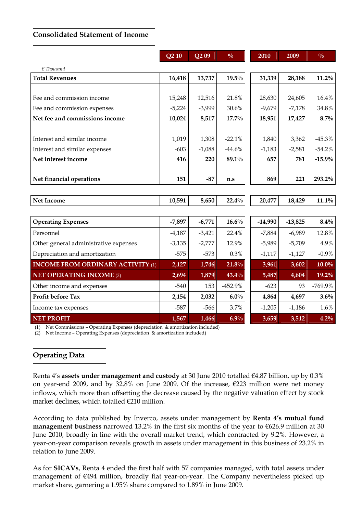#### Consolidated Statement of Income

|                                          | Q210     | Q <sub>2</sub> 09 | $\frac{0}{0}$ | 2010 |           | 2009      | $\frac{0}{0}$ |
|------------------------------------------|----------|-------------------|---------------|------|-----------|-----------|---------------|
| $\epsilon$ Thousand                      |          |                   |               |      |           |           |               |
| <b>Total Revenues</b>                    | 16,418   | 13,737            | 19.5%         |      | 31,339    | 28,188    | $11.2\%$      |
|                                          |          |                   |               |      |           |           |               |
| Fee and commission income                | 15,248   | 12,516            | 21.8%         |      | 28,630    | 24,605    | 16.4%         |
| Fee and commission expenses              | $-5,224$ | $-3,999$          | 30.6%         |      | $-9,679$  | $-7,178$  | 34.8%         |
| Net fee and commissions income           | 10,024   | 8,517             | $17.7\%$      |      | 18,951    | 17,427    | $8.7\%$       |
|                                          |          |                   |               |      |           |           |               |
| Interest and similar income              | 1,019    | 1,308             | $-22.1%$      |      | 1,840     | 3,362     | $-45.3%$      |
| Interest and similar expenses            | $-603$   | $-1,088$          | $-44.6%$      |      | $-1,183$  | $-2,581$  | $-54.2%$      |
| Net interest income                      | 416      | 220               | 89.1%         |      | 657       | 781       | $-15.9%$      |
|                                          |          |                   |               |      |           |           |               |
| Net financial operations                 | 151      | $-87$             | n.s           |      | 869       | 221       | 293.2%        |
|                                          |          |                   |               |      |           |           |               |
| <b>Net Income</b>                        | 10,591   | 8,650             | 22.4%         |      | 20,477    | 18,429    | $11.1\%$      |
|                                          |          |                   |               |      |           |           |               |
| <b>Operating Expenses</b>                | $-7,897$ | $-6,771$          | $16.6\%$      |      | $-14,990$ | $-13,825$ | $8.4\%$       |
| Personnel                                | $-4,187$ | $-3,421$          | 22.4%         |      | $-7,884$  | $-6,989$  | 12.8%         |
| Other general administrative expenses    | $-3,135$ | $-2,777$          | 12.9%         |      | $-5,989$  | $-5,709$  | 4.9%          |
| Depreciation and amortization            | $-575$   | $-573$            | 0.3%          |      | $-1,117$  | $-1,127$  | $-0.9%$       |
| <b>INCOME FROM ORDINARY ACTIVITY (1)</b> | 2,127    | 1,746             | 21.8%         |      | 3,961     | 3,602     | $10.0\%$      |
| <b>NET OPERATING INCOME (2)</b>          | 2,694    | 1,879             | 43.4%         |      | 5,487     | 4,604     | 19.2%         |
| Other income and expenses                | $-540$   | 153               | -452.9%       |      | $-623$    | 93        | $-769.9%$     |
| Profit before Tax                        | 2,154    | 2,032             | 6.0%          |      | 4,864     | 4,697     | 3.6%          |
| Income tax expenses                      | $-587$   | $-566$            | 3.7%          |      | $-1,205$  | $-1,186$  | 1.6%          |
| <b>NET PROFIT</b>                        | 1,567    | 1,466             | 6.9%          |      | 3,659     | 3,512     | 4.2%          |

(1) Net Commissions – Operating Expenses (depreciation & amortization included)

(2) Net Income – Operating Expenses (depreciation & amortization included)

#### Operating Data

Renta 4's assets under management and custody at 30 June 2010 totalled €4.87 billion, up by 0.3% on year-end 2009, and by 32.8% on June 2009. Of the increase, €223 million were net money inflows, which more than offsetting the decrease caused by the negative valuation effect by stock market declines, which totalled €210 million.

According to data published by Inverco, assets under management by Renta 4's mutual fund **management business** narrowed 13.2% in the first six months of the year to  $\epsilon$ 626.9 million at 30 June 2010, broadly in line with the overall market trend, which contracted by 9.2%. However, a year-on-year comparison reveals growth in assets under management in this business of 23.2% in relation to June 2009.

As for SICAVs, Renta 4 ended the first half with 57 companies managed, with total assets under management of €494 million, broadly flat year-on-year. The Company nevertheless picked up market share, garnering a 1.95% share compared to 1.89% in June 2009.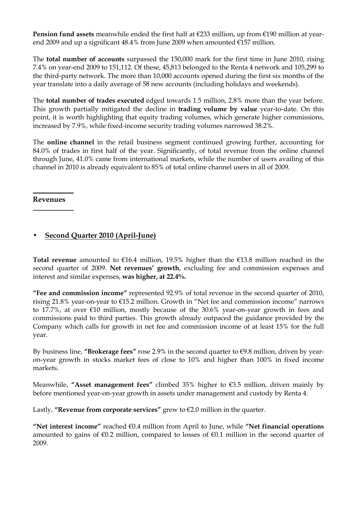**Pension fund assets** meanwhile ended the first half at  $\epsilon$ 233 million, up from  $\epsilon$ 190 million at yearend 2009 and up a significant 48.4% from June 2009 when amounted €157 million.

The total number of accounts surpassed the 150,000 mark for the first time in June 2010, rising 7.4% on year-end 2009 to 151,112. Of these, 45,813 belonged to the Renta 4 network and 105,299 to the third-party network. The more than 10,000 accounts opened during the first six months of the year translate into a daily average of 58 new accounts (including holidays and weekends).

The total number of trades executed edged towards 1.5 million, 2.8% more than the year before. This growth partially mitigated the decline in **trading volume by value** year-to-date. On this point, it is worth highlighting that equity trading volumes, which generate higher commissions, increased by 7.9%, while fixed-income security trading volumes narrowed 38.2%.

The online channel in the retail business segment continued growing further, accounting for 84.0% of trades in first half of the year. Significantly, of total revenue from the online channel through June, 41.0% came from international markets, while the number of users availing of this channel in 2010 is already equivalent to 85% of total online channel users in all of 2009.

#### Revenues

## • Second Quarter 2010 (April-June)

Total revenue amounted to  $E16.4$  million, 19.5% higher than the  $E13.8$  million reached in the second quarter of 2009. Net revenues' growth, excluding fee and commission expenses and interest and similar expenses, was higher, at 22.4%.

"Fee and commission income" represented 92.9% of total revenue in the second quarter of 2010, rising 21.8% year-on-year to €15.2 million. Growth in "Net fee and commission income" narrows to 17.7%, at over €10 million, mostly because of the 30.6% year-on-year growth in fees and commissions paid to third parties. This growth already outpaced the guidance provided by the Company which calls for growth in net fee and commission income of at least 15% for the full year.

By business line, "Brokerage fees" rose 2.9% in the second quarter to  $\epsilon$ 9.8 million, driven by yearon-year growth in stocks market fees of close to 10% and higher than 100% in fixed income markets.

Meanwhile, "Asset management fees" climbed 35% higher to €3.5 million, driven mainly by before mentioned year-on-year growth in assets under management and custody by Renta 4.

Lastly, "Revenue from corporate services" grew to  $\epsilon$ 2.0 million in the quarter.

"Net interest income" reached  $\epsilon$ 0.4 million from April to June, while "Net financial operations amounted to gains of  $\epsilon$ 0.2 million, compared to losses of  $\epsilon$ 0.1 million in the second quarter of 2009.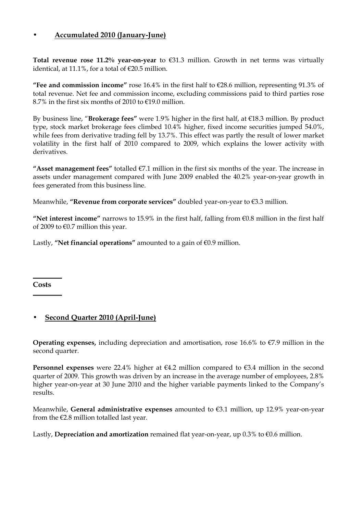## • Accumulated 2010 (January-June)

Total revenue rose 11.2% year-on-year to  $\epsilon$ 31.3 million. Growth in net terms was virtually identical, at 11.1%, for a total of  $\epsilon$ 20.5 million.

"Fee and commission income" rose 16.4% in the first half to  $E28.6$  million, representing 91.3% of total revenue. Net fee and commission income, excluding commissions paid to third parties rose 8.7% in the first six months of 2010 to €19.0 million.

By business line, "Brokerage fees" were 1.9% higher in the first half, at €18.3 million. By product type, stock market brokerage fees climbed 10.4% higher, fixed income securities jumped 54.0%, while fees from derivative trading fell by 13.7%. This effect was partly the result of lower market volatility in the first half of 2010 compared to 2009, which explains the lower activity with derivatives.

"Asset management fees" totalled  $\epsilon$ 7.1 million in the first six months of the year. The increase in assets under management compared with June 2009 enabled the 40.2% year-on-year growth in fees generated from this business line.

Meanwhile, "Revenue from corporate services" doubled year-on-year to €3.3 million.

"Net interest income" narrows to 15.9% in the first half, falling from  $\epsilon$ 0.8 million in the first half of 2009 to  $€0.7$  million this year.

Lastly, "Net financial operations" amounted to a gain of  $\epsilon$ 0.9 million.

Costs

## • Second Quarter 2010 (April-June)

Operating expenses, including depreciation and amortisation, rose 16.6% to  $\epsilon$ 7.9 million in the second quarter.

Personnel expenses were 22.4% higher at  $64.2$  million compared to  $63.4$  million in the second quarter of 2009. This growth was driven by an increase in the average number of employees, 2.8% higher year-on-year at 30 June 2010 and the higher variable payments linked to the Company's results.

Meanwhile, General administrative expenses amounted to €3.1 million, up 12.9% year-on-year from the  $E2.8$  million totalled last year.

Lastly, Depreciation and amortization remained flat year-on-year, up  $0.3\%$  to  $\varepsilon 0.6$  million.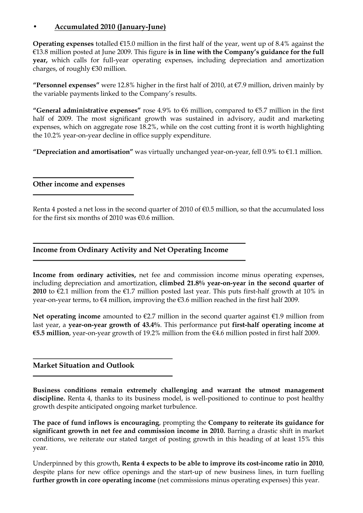## • Accumulated 2010 (January-June)

**Operating expenses** totalled  $\epsilon$ 15.0 million in the first half of the year, went up of 8.4% against the €13.8 million posted at June 2009. This figure is in line with the Company's guidance for the full year, which calls for full-year operating expenses, including depreciation and amortization charges, of roughly €30 million.

"Personnel expenses" were 12.8% higher in the first half of 2010, at  $\epsilon$ 7.9 million, driven mainly by the variable payments linked to the Company's results.

"General administrative expenses" rose 4.9% to  $66$  million, compared to  $65.7$  million in the first half of 2009. The most significant growth was sustained in advisory, audit and marketing expenses, which on aggregate rose 18.2%, while on the cost cutting front it is worth highlighting the 10.2% year-on-year decline in office supply expenditure.

"Depreciation and amortisation" was virtually unchanged year-on-year, fell  $0.9\%$  to  $\epsilon$ 1.1 million.

#### Other income and expenses

Renta 4 posted a net loss in the second quarter of 2010 of  $\epsilon$ 0.5 million, so that the accumulated loss for the first six months of 2010 was  $f(0.6)$  million.

## Income from Ordinary Activity and Net Operating Income

Income from ordinary activities, net fee and commission income minus operating expenses, including depreciation and amortization, climbed 21.8% year-on-year in the second quarter of 2010 to  $\epsilon$ 2.1 million from the  $\epsilon$ 1.7 million posted last year. This puts first-half growth at 10% in year-on-year terms, to €4 million, improving the €3.6 million reached in the first half 2009.

Net operating income amounted to  $\epsilon$ 2.7 million in the second quarter against  $\epsilon$ 1.9 million from last year, a year-on-year growth of 43.4%. This performance put first-half operating income at €5.5 million, year-on-year growth of 19.2% million from the  $€4.6$  million posted in first half 2009.

#### Market Situation and Outlook

Business conditions remain extremely challenging and warrant the utmost management discipline. Renta 4, thanks to its business model, is well-positioned to continue to post healthy growth despite anticipated ongoing market turbulence.

The pace of fund inflows is encouraging, prompting the Company to reiterate its guidance for significant growth in net fee and commission income in 2010. Barring a drastic shift in market conditions, we reiterate our stated target of posting growth in this heading of at least 15% this year.

Underpinned by this growth, Renta 4 expects to be able to improve its cost-income ratio in 2010, despite plans for new office openings and the start-up of new business lines, in turn fuelling further growth in core operating income (net commissions minus operating expenses) this year.